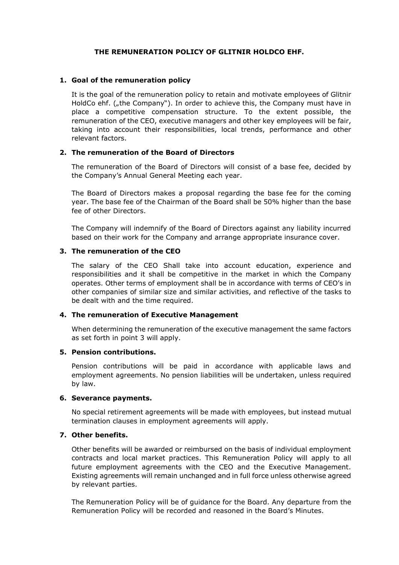# **THE REMUNERATION POLICY OF GLITNIR HOLDCO EHF.**

### **1. Goal of the remuneration policy**

It is the goal of the remuneration policy to retain and motivate employees of Glitnir HoldCo ehf. (*"the Company"*). In order to achieve this, the Company must have in place a competitive compensation structure. To the extent possible, the remuneration of the CEO, executive managers and other key employees will be fair, taking into account their responsibilities, local trends, performance and other relevant factors.

# **2. The remuneration of the Board of Directors**

The remuneration of the Board of Directors will consist of a base fee, decided by the Company's Annual General Meeting each year.

The Board of Directors makes a proposal regarding the base fee for the coming year. The base fee of the Chairman of the Board shall be 50% higher than the base fee of other Directors.

The Company will indemnify of the Board of Directors against any liability incurred based on their work for the Company and arrange appropriate insurance cover.

# **3. The remuneration of the CEO**

The salary of the CEO Shall take into account education, experience and responsibilities and it shall be competitive in the market in which the Company operates. Other terms of employment shall be in accordance with terms of CEO's in other companies of similar size and similar activities, and reflective of the tasks to be dealt with and the time required.

### **4. The remuneration of Executive Management**

When determining the remuneration of the executive management the same factors as set forth in point 3 will apply.

### **5. Pension contributions.**

Pension contributions will be paid in accordance with applicable laws and employment agreements. No pension liabilities will be undertaken, unless required by law.

### **6. Severance payments.**

No special retirement agreements will be made with employees, but instead mutual termination clauses in employment agreements will apply.

### **7. Other benefits.**

Other benefits will be awarded or reimbursed on the basis of individual employment contracts and local market practices. This Remuneration Policy will apply to all future employment agreements with the CEO and the Executive Management. Existing agreements will remain unchanged and in full force unless otherwise agreed by relevant parties.

The Remuneration Policy will be of guidance for the Board. Any departure from the Remuneration Policy will be recorded and reasoned in the Board's Minutes.